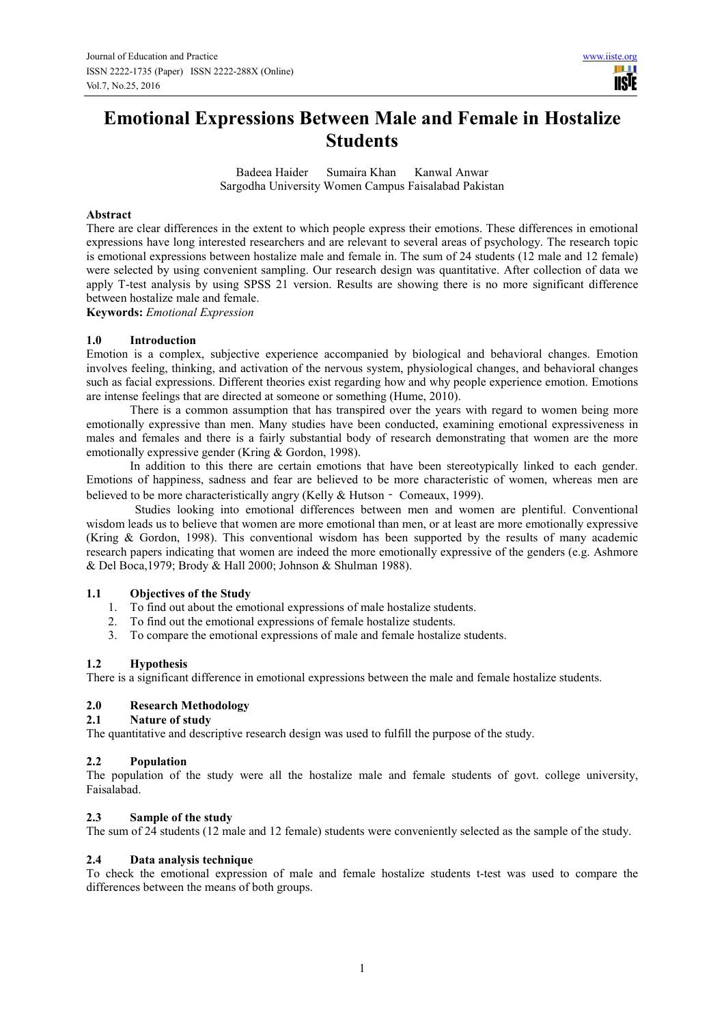## **Emotional Expressions Between Male and Female in Hostalize Students**

Badeea Haider Sumaira Khan Kanwal Anwar Sargodha University Women Campus Faisalabad Pakistan

#### **Abstract**

There are clear differences in the extent to which people express their emotions. These differences in emotional expressions have long interested researchers and are relevant to several areas of psychology. The research topic is emotional expressions between hostalize male and female in. The sum of 24 students (12 male and 12 female) were selected by using convenient sampling. Our research design was quantitative. After collection of data we apply T-test analysis by using SPSS 21 version. Results are showing there is no more significant difference between hostalize male and female.

**Keywords:** *Emotional Expression* 

#### **1.0 Introduction**

Emotion is a complex, subjective experience accompanied by biological and behavioral changes. Emotion involves feeling, thinking, and activation of the nervous system, physiological changes, and behavioral changes such as facial expressions. Different theories exist regarding how and why people experience emotion. Emotions are intense feelings that are directed at someone or something (Hume, 2010).

There is a common assumption that has transpired over the years with regard to women being more emotionally expressive than men. Many studies have been conducted, examining emotional expressiveness in males and females and there is a fairly substantial body of research demonstrating that women are the more emotionally expressive gender (Kring & Gordon, 1998).

In addition to this there are certain emotions that have been stereotypically linked to each gender. Emotions of happiness, sadness and fear are believed to be more characteristic of women, whereas men are believed to be more characteristically angry (Kelly & Hutson - Comeaux, 1999).

Studies looking into emotional differences between men and women are plentiful. Conventional wisdom leads us to believe that women are more emotional than men, or at least are more emotionally expressive (Kring & Gordon, 1998). This conventional wisdom has been supported by the results of many academic research papers indicating that women are indeed the more emotionally expressive of the genders (e.g. Ashmore & Del Boca,1979; Brody & Hall 2000; Johnson & Shulman 1988).

# **1.1 Objectives of the Study**<br>**1.** To find out about the email

- 1. To find out about the emotional expressions of male hostalize students.
- 2. To find out the emotional expressions of female hostalize students.
- 3. To compare the emotional expressions of male and female hostalize students.

#### **1.2 Hypothesis**

There is a significant difference in emotional expressions between the male and female hostalize students.

#### **2.0 Research Methodology**

### **2.1 Nature of study**

The quantitative and descriptive research design was used to fulfill the purpose of the study.

#### **2.2 Population**

The population of the study were all the hostalize male and female students of govt. college university, Faisalabad.

#### **2.3 Sample of the study**

The sum of 24 students (12 male and 12 female) students were conveniently selected as the sample of the study.

#### **2.4 Data analysis technique**

To check the emotional expression of male and female hostalize students t-test was used to compare the differences between the means of both groups.